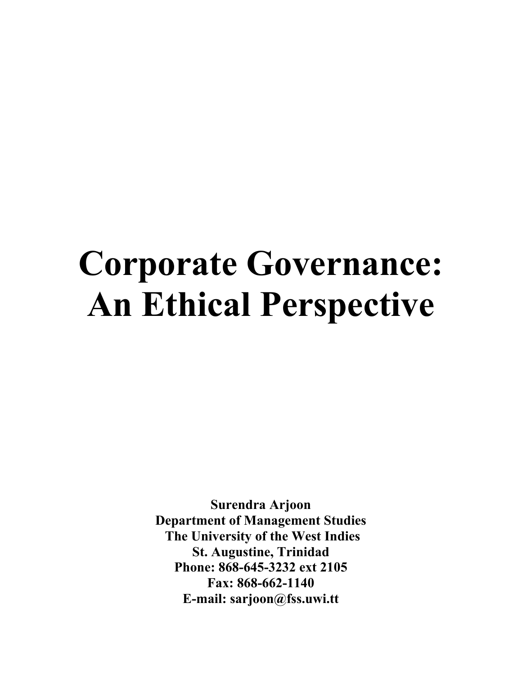# **Corporate Governance: An Ethical Perspective**

**Surendra Arjoon Department of Management Studies The University of the West Indies St. Augustine, Trinidad Phone: 868-645-3232 ext 2105 Fax: 868-662-1140 E-mail: sarjoon@fss.uwi.tt**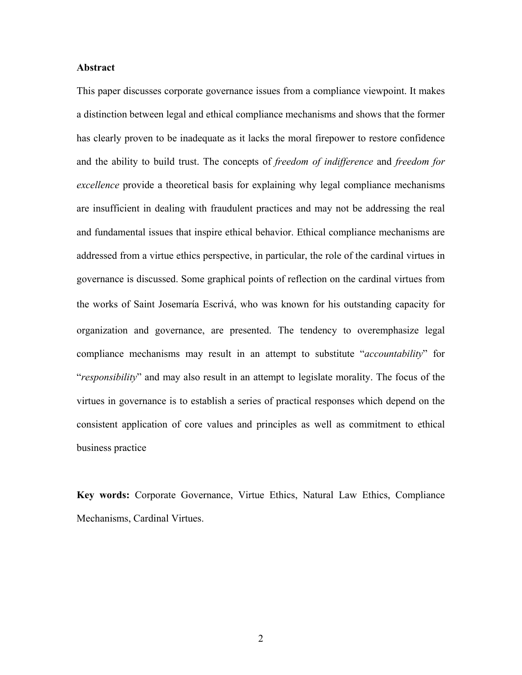## **Abstract**

This paper discusses corporate governance issues from a compliance viewpoint. It makes a distinction between legal and ethical compliance mechanisms and shows that the former has clearly proven to be inadequate as it lacks the moral firepower to restore confidence and the ability to build trust. The concepts of *freedom of indifference* and *freedom for excellence* provide a theoretical basis for explaining why legal compliance mechanisms are insufficient in dealing with fraudulent practices and may not be addressing the real and fundamental issues that inspire ethical behavior. Ethical compliance mechanisms are addressed from a virtue ethics perspective, in particular, the role of the cardinal virtues in governance is discussed. Some graphical points of reflection on the cardinal virtues from the works of Saint Josemarίa Escrivá, who was known for his outstanding capacity for organization and governance, are presented. The tendency to overemphasize legal compliance mechanisms may result in an attempt to substitute "*accountability*" for "*responsibility*" and may also result in an attempt to legislate morality. The focus of the virtues in governance is to establish a series of practical responses which depend on the consistent application of core values and principles as well as commitment to ethical business practice

**Key words:** Corporate Governance, Virtue Ethics, Natural Law Ethics, Compliance Mechanisms, Cardinal Virtues.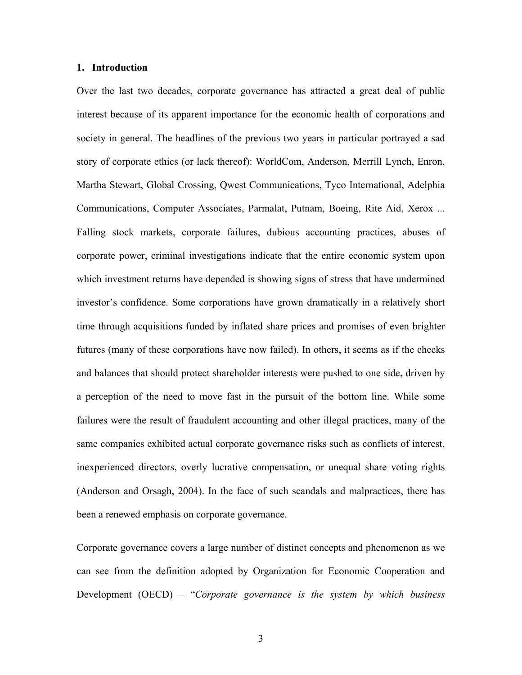#### **1. Introduction**

Over the last two decades, corporate governance has attracted a great deal of public interest because of its apparent importance for the economic health of corporations and society in general. The headlines of the previous two years in particular portrayed a sad story of corporate ethics (or lack thereof): WorldCom, Anderson, Merrill Lynch, Enron, Martha Stewart, Global Crossing, Qwest Communications, Tyco International, Adelphia Communications, Computer Associates, Parmalat, Putnam, Boeing, Rite Aid, Xerox ... Falling stock markets, corporate failures, dubious accounting practices, abuses of corporate power, criminal investigations indicate that the entire economic system upon which investment returns have depended is showing signs of stress that have undermined investor's confidence. Some corporations have grown dramatically in a relatively short time through acquisitions funded by inflated share prices and promises of even brighter futures (many of these corporations have now failed). In others, it seems as if the checks and balances that should protect shareholder interests were pushed to one side, driven by a perception of the need to move fast in the pursuit of the bottom line. While some failures were the result of fraudulent accounting and other illegal practices, many of the same companies exhibited actual corporate governance risks such as conflicts of interest, inexperienced directors, overly lucrative compensation, or unequal share voting rights (Anderson and Orsagh, 2004). In the face of such scandals and malpractices, there has been a renewed emphasis on corporate governance.

Corporate governance covers a large number of distinct concepts and phenomenon as we can see from the definition adopted by Organization for Economic Cooperation and Development (OECD) – "*Corporate governance is the system by which business*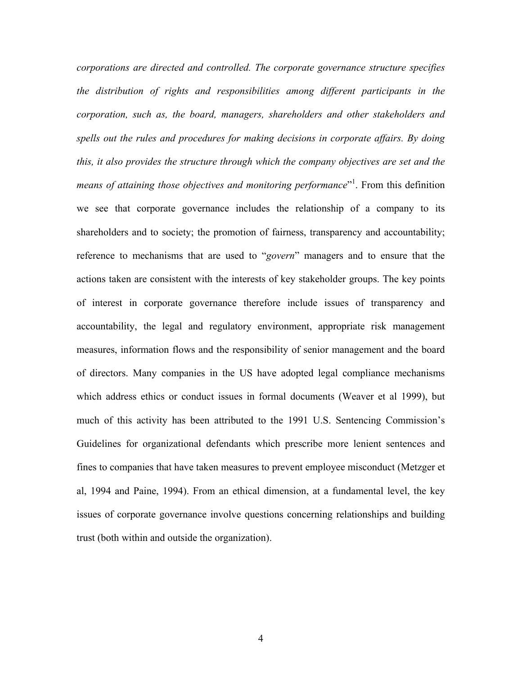*corporations are directed and controlled. The corporate governance structure specifies the distribution of rights and responsibilities among different participants in the corporation, such as, the board, managers, shareholders and other stakeholders and spells out the rules and procedures for making decisions in corporate affairs. By doing this, it also provides the structure through which the company objectives are set and the*  means of attaining those objectives and monitoring performance<sup>"1</sup>. From this definition we see that corporate governance includes the relationship of a company to its shareholders and to society; the promotion of fairness, transparency and accountability; reference to mechanisms that are used to "*govern*" managers and to ensure that the actions taken are consistent with the interests of key stakeholder groups. The key points of interest in corporate governance therefore include issues of transparency and accountability, the legal and regulatory environment, appropriate risk management measures, information flows and the responsibility of senior management and the board of directors. Many companies in the US have adopted legal compliance mechanisms which address ethics or conduct issues in formal documents (Weaver et al 1999), but much of this activity has been attributed to the 1991 U.S. Sentencing Commission's Guidelines for organizational defendants which prescribe more lenient sentences and fines to companies that have taken measures to prevent employee misconduct (Metzger et al, 1994 and Paine, 1994). From an ethical dimension, at a fundamental level, the key issues of corporate governance involve questions concerning relationships and building trust (both within and outside the organization).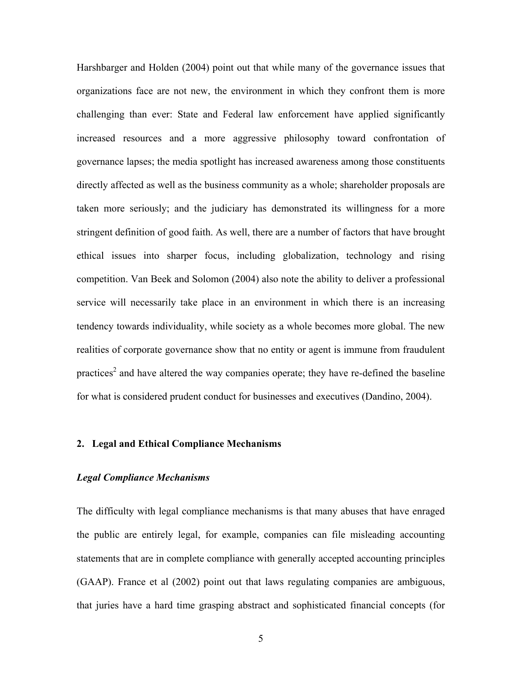Harshbarger and Holden (2004) point out that while many of the governance issues that organizations face are not new, the environment in which they confront them is more challenging than ever: State and Federal law enforcement have applied significantly increased resources and a more aggressive philosophy toward confrontation of governance lapses; the media spotlight has increased awareness among those constituents directly affected as well as the business community as a whole; shareholder proposals are taken more seriously; and the judiciary has demonstrated its willingness for a more stringent definition of good faith. As well, there are a number of factors that have brought ethical issues into sharper focus, including globalization, technology and rising competition. Van Beek and Solomon (2004) also note the ability to deliver a professional service will necessarily take place in an environment in which there is an increasing tendency towards individuality, while society as a whole becomes more global. The new realities of corporate governance show that no entity or agent is immune from fraudulent practices<sup>2</sup> and have altered the way companies operate; they have re-defined the baseline for what is considered prudent conduct for businesses and executives (Dandino, 2004).

## **2. Legal and Ethical Compliance Mechanisms**

## *Legal Compliance Mechanisms*

The difficulty with legal compliance mechanisms is that many abuses that have enraged the public are entirely legal, for example, companies can file misleading accounting statements that are in complete compliance with generally accepted accounting principles (GAAP). France et al (2002) point out that laws regulating companies are ambiguous, that juries have a hard time grasping abstract and sophisticated financial concepts (for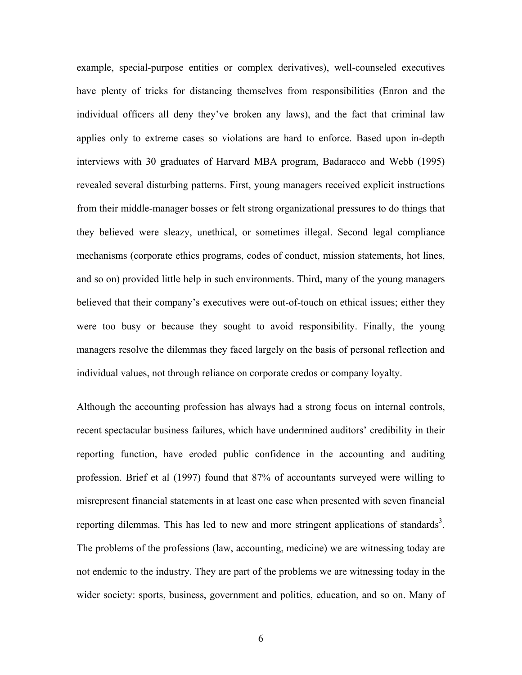example, special-purpose entities or complex derivatives), well-counseled executives have plenty of tricks for distancing themselves from responsibilities (Enron and the individual officers all deny they've broken any laws), and the fact that criminal law applies only to extreme cases so violations are hard to enforce. Based upon in-depth interviews with 30 graduates of Harvard MBA program, Badaracco and Webb (1995) revealed several disturbing patterns. First, young managers received explicit instructions from their middle-manager bosses or felt strong organizational pressures to do things that they believed were sleazy, unethical, or sometimes illegal. Second legal compliance mechanisms (corporate ethics programs, codes of conduct, mission statements, hot lines, and so on) provided little help in such environments. Third, many of the young managers believed that their company's executives were out-of-touch on ethical issues; either they were too busy or because they sought to avoid responsibility. Finally, the young managers resolve the dilemmas they faced largely on the basis of personal reflection and individual values, not through reliance on corporate credos or company loyalty.

Although the accounting profession has always had a strong focus on internal controls, recent spectacular business failures, which have undermined auditors' credibility in their reporting function, have eroded public confidence in the accounting and auditing profession. Brief et al (1997) found that 87% of accountants surveyed were willing to misrepresent financial statements in at least one case when presented with seven financial reporting dilemmas. This has led to new and more stringent applications of standards<sup>3</sup>. The problems of the professions (law, accounting, medicine) we are witnessing today are not endemic to the industry. They are part of the problems we are witnessing today in the wider society: sports, business, government and politics, education, and so on. Many of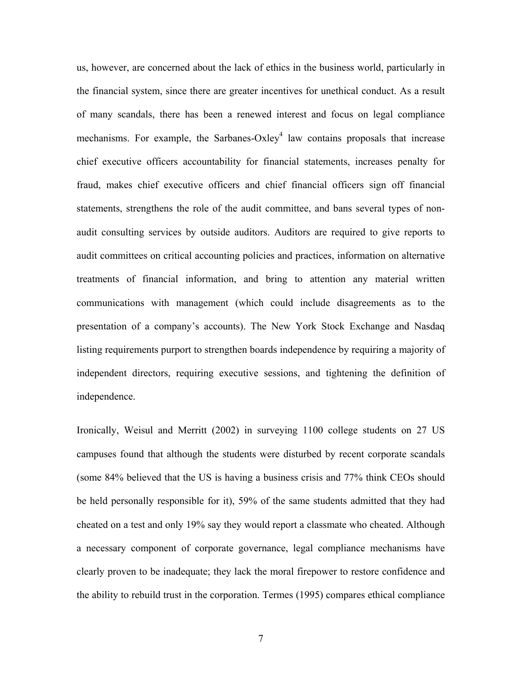us, however, are concerned about the lack of ethics in the business world, particularly in the financial system, since there are greater incentives for unethical conduct. As a result of many scandals, there has been a renewed interest and focus on legal compliance mechanisms. For example, the Sarbanes-Oxley<sup>4</sup> law contains proposals that increase chief executive officers accountability for financial statements, increases penalty for fraud, makes chief executive officers and chief financial officers sign off financial statements, strengthens the role of the audit committee, and bans several types of nonaudit consulting services by outside auditors. Auditors are required to give reports to audit committees on critical accounting policies and practices, information on alternative treatments of financial information, and bring to attention any material written communications with management (which could include disagreements as to the presentation of a company's accounts). The New York Stock Exchange and Nasdaq listing requirements purport to strengthen boards independence by requiring a majority of independent directors, requiring executive sessions, and tightening the definition of independence.

Ironically, Weisul and Merritt (2002) in surveying 1100 college students on 27 US campuses found that although the students were disturbed by recent corporate scandals (some 84% believed that the US is having a business crisis and 77% think CEOs should be held personally responsible for it), 59% of the same students admitted that they had cheated on a test and only 19% say they would report a classmate who cheated. Although a necessary component of corporate governance, legal compliance mechanisms have clearly proven to be inadequate; they lack the moral firepower to restore confidence and the ability to rebuild trust in the corporation. Termes (1995) compares ethical compliance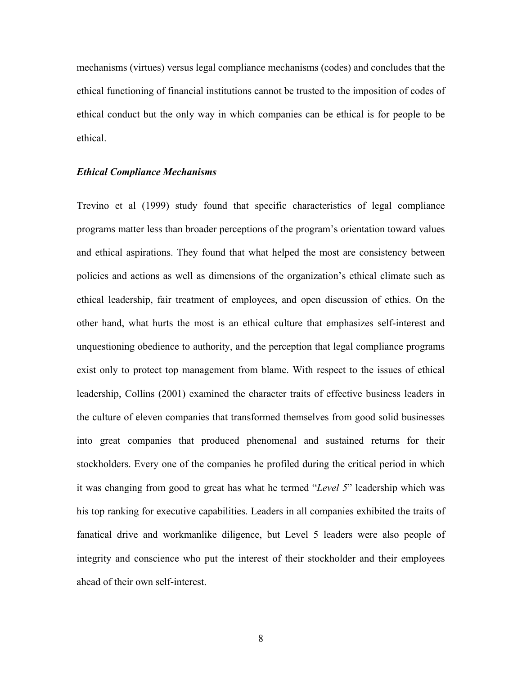mechanisms (virtues) versus legal compliance mechanisms (codes) and concludes that the ethical functioning of financial institutions cannot be trusted to the imposition of codes of ethical conduct but the only way in which companies can be ethical is for people to be ethical.

#### *Ethical Compliance Mechanisms*

Trevino et al (1999) study found that specific characteristics of legal compliance programs matter less than broader perceptions of the program's orientation toward values and ethical aspirations. They found that what helped the most are consistency between policies and actions as well as dimensions of the organization's ethical climate such as ethical leadership, fair treatment of employees, and open discussion of ethics. On the other hand, what hurts the most is an ethical culture that emphasizes self-interest and unquestioning obedience to authority, and the perception that legal compliance programs exist only to protect top management from blame. With respect to the issues of ethical leadership, Collins (2001) examined the character traits of effective business leaders in the culture of eleven companies that transformed themselves from good solid businesses into great companies that produced phenomenal and sustained returns for their stockholders. Every one of the companies he profiled during the critical period in which it was changing from good to great has what he termed "*Level 5*" leadership which was his top ranking for executive capabilities. Leaders in all companies exhibited the traits of fanatical drive and workmanlike diligence, but Level 5 leaders were also people of integrity and conscience who put the interest of their stockholder and their employees ahead of their own self-interest.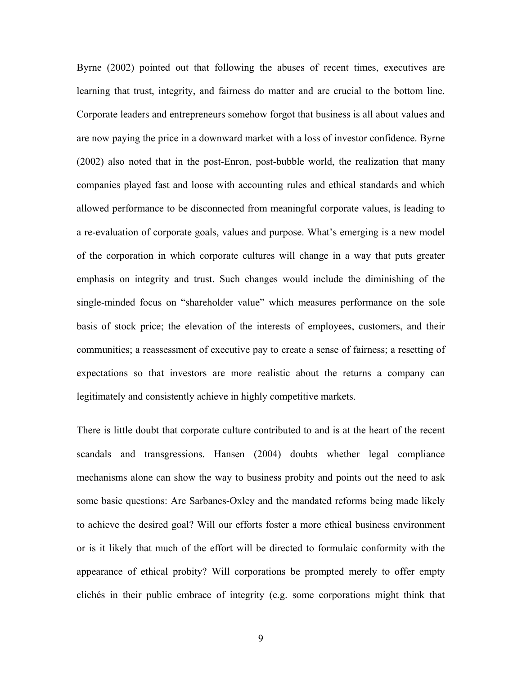Byrne (2002) pointed out that following the abuses of recent times, executives are learning that trust, integrity, and fairness do matter and are crucial to the bottom line. Corporate leaders and entrepreneurs somehow forgot that business is all about values and are now paying the price in a downward market with a loss of investor confidence. Byrne (2002) also noted that in the post-Enron, post-bubble world, the realization that many companies played fast and loose with accounting rules and ethical standards and which allowed performance to be disconnected from meaningful corporate values, is leading to a re-evaluation of corporate goals, values and purpose. What's emerging is a new model of the corporation in which corporate cultures will change in a way that puts greater emphasis on integrity and trust. Such changes would include the diminishing of the single-minded focus on "shareholder value" which measures performance on the sole basis of stock price; the elevation of the interests of employees, customers, and their communities; a reassessment of executive pay to create a sense of fairness; a resetting of expectations so that investors are more realistic about the returns a company can legitimately and consistently achieve in highly competitive markets.

There is little doubt that corporate culture contributed to and is at the heart of the recent scandals and transgressions. Hansen (2004) doubts whether legal compliance mechanisms alone can show the way to business probity and points out the need to ask some basic questions: Are Sarbanes-Oxley and the mandated reforms being made likely to achieve the desired goal? Will our efforts foster a more ethical business environment or is it likely that much of the effort will be directed to formulaic conformity with the appearance of ethical probity? Will corporations be prompted merely to offer empty clichés in their public embrace of integrity (e.g. some corporations might think that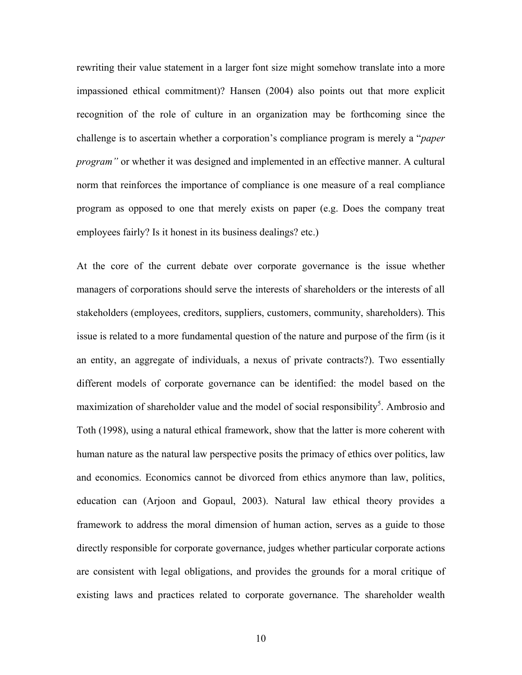rewriting their value statement in a larger font size might somehow translate into a more impassioned ethical commitment)? Hansen (2004) also points out that more explicit recognition of the role of culture in an organization may be forthcoming since the challenge is to ascertain whether a corporation's compliance program is merely a "*paper program"* or whether it was designed and implemented in an effective manner. A cultural norm that reinforces the importance of compliance is one measure of a real compliance program as opposed to one that merely exists on paper (e.g. Does the company treat employees fairly? Is it honest in its business dealings? etc.)

At the core of the current debate over corporate governance is the issue whether managers of corporations should serve the interests of shareholders or the interests of all stakeholders (employees, creditors, suppliers, customers, community, shareholders). This issue is related to a more fundamental question of the nature and purpose of the firm (is it an entity, an aggregate of individuals, a nexus of private contracts?). Two essentially different models of corporate governance can be identified: the model based on the maximization of shareholder value and the model of social responsibility<sup>5</sup>. Ambrosio and Toth (1998), using a natural ethical framework, show that the latter is more coherent with human nature as the natural law perspective posits the primacy of ethics over politics, law and economics. Economics cannot be divorced from ethics anymore than law, politics, education can (Arjoon and Gopaul, 2003). Natural law ethical theory provides a framework to address the moral dimension of human action, serves as a guide to those directly responsible for corporate governance, judges whether particular corporate actions are consistent with legal obligations, and provides the grounds for a moral critique of existing laws and practices related to corporate governance. The shareholder wealth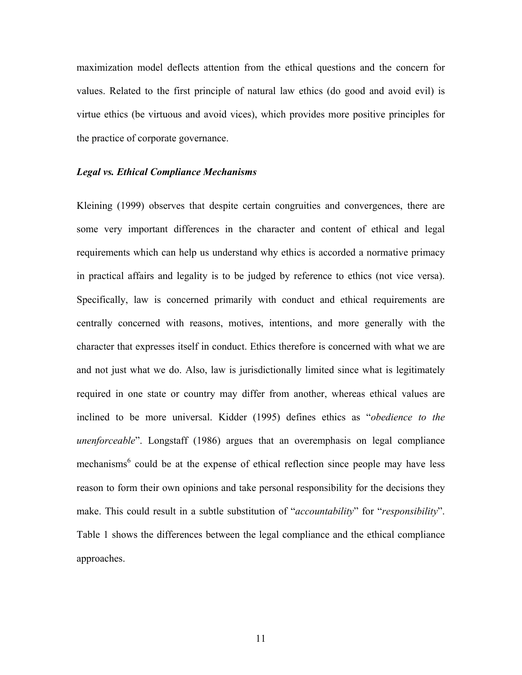maximization model deflects attention from the ethical questions and the concern for values. Related to the first principle of natural law ethics (do good and avoid evil) is virtue ethics (be virtuous and avoid vices), which provides more positive principles for the practice of corporate governance.

#### *Legal vs. Ethical Compliance Mechanisms*

Kleining (1999) observes that despite certain congruities and convergences, there are some very important differences in the character and content of ethical and legal requirements which can help us understand why ethics is accorded a normative primacy in practical affairs and legality is to be judged by reference to ethics (not vice versa). Specifically, law is concerned primarily with conduct and ethical requirements are centrally concerned with reasons, motives, intentions, and more generally with the character that expresses itself in conduct. Ethics therefore is concerned with what we are and not just what we do. Also, law is jurisdictionally limited since what is legitimately required in one state or country may differ from another, whereas ethical values are inclined to be more universal. Kidder (1995) defines ethics as "*obedience to the unenforceable*". Longstaff (1986) argues that an overemphasis on legal compliance mechanisms<sup>6</sup> could be at the expense of ethical reflection since people may have less reason to form their own opinions and take personal responsibility for the decisions they make. This could result in a subtle substitution of "*accountability*" for "*responsibility*". Table 1 shows the differences between the legal compliance and the ethical compliance approaches.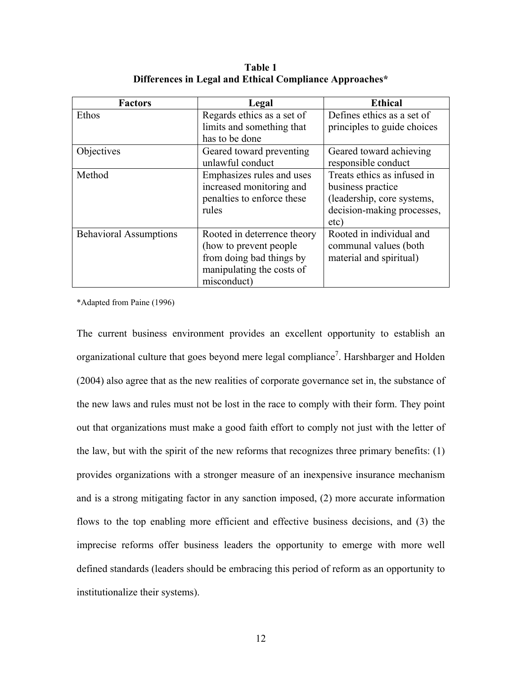| <b>Factors</b>                | Legal                       | <b>Ethical</b>              |
|-------------------------------|-----------------------------|-----------------------------|
| Ethos                         | Regards ethics as a set of  | Defines ethics as a set of  |
|                               | limits and something that   | principles to guide choices |
|                               | has to be done              |                             |
| Objectives                    | Geared toward preventing    | Geared toward achieving     |
|                               | unlawful conduct            | responsible conduct         |
| Method                        | Emphasizes rules and uses   | Treats ethics as infused in |
|                               | increased monitoring and    | business practice           |
|                               | penalties to enforce these  | (leadership, core systems,  |
|                               | rules                       | decision-making processes,  |
|                               |                             | etc)                        |
| <b>Behavioral Assumptions</b> | Rooted in deterrence theory | Rooted in individual and    |
|                               | (how to prevent people)     | communal values (both       |
|                               | from doing bad things by    | material and spiritual)     |
|                               | manipulating the costs of   |                             |
|                               | misconduct)                 |                             |

**Table 1 Differences in Legal and Ethical Compliance Approaches\*** 

\*Adapted from Paine (1996)

The current business environment provides an excellent opportunity to establish an organizational culture that goes beyond mere legal compliance<sup>7</sup>. Harshbarger and Holden (2004) also agree that as the new realities of corporate governance set in, the substance of the new laws and rules must not be lost in the race to comply with their form. They point out that organizations must make a good faith effort to comply not just with the letter of the law, but with the spirit of the new reforms that recognizes three primary benefits: (1) provides organizations with a stronger measure of an inexpensive insurance mechanism and is a strong mitigating factor in any sanction imposed, (2) more accurate information flows to the top enabling more efficient and effective business decisions, and (3) the imprecise reforms offer business leaders the opportunity to emerge with more well defined standards (leaders should be embracing this period of reform as an opportunity to institutionalize their systems).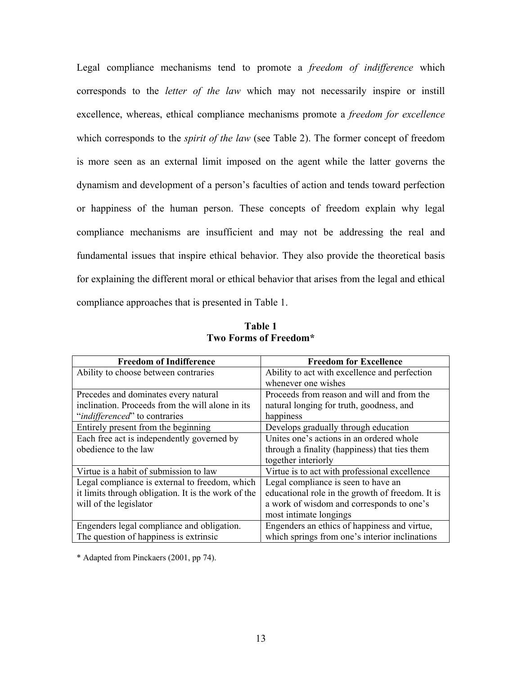Legal compliance mechanisms tend to promote a *freedom of indifference* which corresponds to the *letter of the law* which may not necessarily inspire or instill excellence, whereas, ethical compliance mechanisms promote a *freedom for excellence*  which corresponds to the *spirit of the law* (see Table 2). The former concept of freedom is more seen as an external limit imposed on the agent while the latter governs the dynamism and development of a person's faculties of action and tends toward perfection or happiness of the human person. These concepts of freedom explain why legal compliance mechanisms are insufficient and may not be addressing the real and fundamental issues that inspire ethical behavior. They also provide the theoretical basis for explaining the different moral or ethical behavior that arises from the legal and ethical compliance approaches that is presented in Table 1.

| <b>Freedom of Indifference</b>                      | <b>Freedom for Excellence</b>                    |  |
|-----------------------------------------------------|--------------------------------------------------|--|
| Ability to choose between contraries                | Ability to act with excellence and perfection    |  |
|                                                     | whenever one wishes                              |  |
| Precedes and dominates every natural                | Proceeds from reason and will and from the       |  |
| inclination. Proceeds from the will alone in its    | natural longing for truth, goodness, and         |  |
| " <i>indifferenced</i> " to contraries              | happiness                                        |  |
| Entirely present from the beginning                 | Develops gradually through education             |  |
| Each free act is independently governed by          | Unites one's actions in an ordered whole         |  |
| obedience to the law                                | through a finality (happiness) that ties them    |  |
|                                                     | together interiorly                              |  |
| Virtue is a habit of submission to law              | Virtue is to act with professional excellence    |  |
| Legal compliance is external to freedom, which      | Legal compliance is seen to have an              |  |
| it limits through obligation. It is the work of the | educational role in the growth of freedom. It is |  |
| will of the legislator                              | a work of wisdom and corresponds to one's        |  |
|                                                     | most intimate longings                           |  |
| Engenders legal compliance and obligation.          | Engenders an ethics of happiness and virtue,     |  |
| The question of happiness is extrinsic              | which springs from one's interior inclinations   |  |

**Table 1 Two Forms of Freedom\*** 

\* Adapted from Pinckaers (2001, pp 74).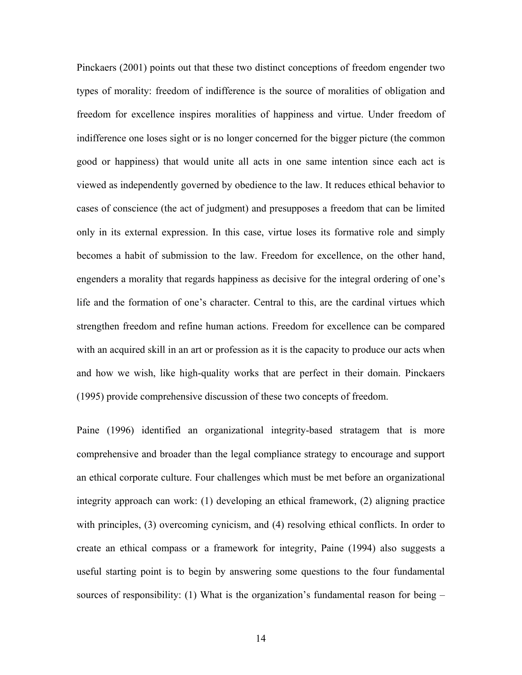Pinckaers (2001) points out that these two distinct conceptions of freedom engender two types of morality: freedom of indifference is the source of moralities of obligation and freedom for excellence inspires moralities of happiness and virtue. Under freedom of indifference one loses sight or is no longer concerned for the bigger picture (the common good or happiness) that would unite all acts in one same intention since each act is viewed as independently governed by obedience to the law. It reduces ethical behavior to cases of conscience (the act of judgment) and presupposes a freedom that can be limited only in its external expression. In this case, virtue loses its formative role and simply becomes a habit of submission to the law. Freedom for excellence, on the other hand, engenders a morality that regards happiness as decisive for the integral ordering of one's life and the formation of one's character. Central to this, are the cardinal virtues which strengthen freedom and refine human actions. Freedom for excellence can be compared with an acquired skill in an art or profession as it is the capacity to produce our acts when and how we wish, like high-quality works that are perfect in their domain. Pinckaers (1995) provide comprehensive discussion of these two concepts of freedom.

Paine (1996) identified an organizational integrity-based stratagem that is more comprehensive and broader than the legal compliance strategy to encourage and support an ethical corporate culture. Four challenges which must be met before an organizational integrity approach can work: (1) developing an ethical framework, (2) aligning practice with principles, (3) overcoming cynicism, and (4) resolving ethical conflicts. In order to create an ethical compass or a framework for integrity, Paine (1994) also suggests a useful starting point is to begin by answering some questions to the four fundamental sources of responsibility: (1) What is the organization's fundamental reason for being –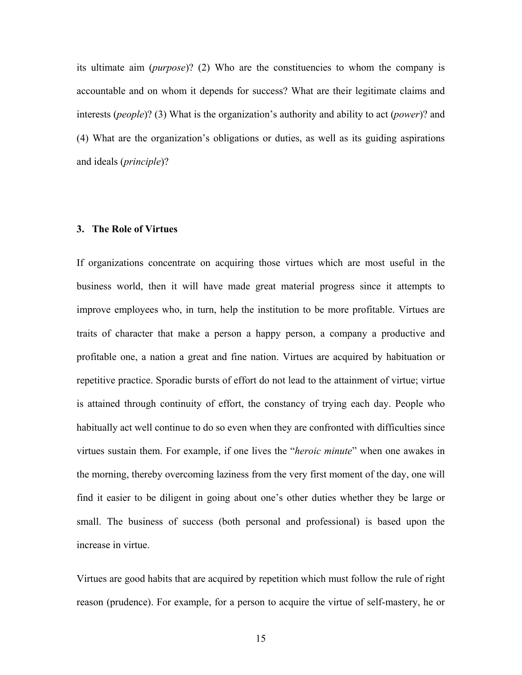its ultimate aim (*purpose*)? (2) Who are the constituencies to whom the company is accountable and on whom it depends for success? What are their legitimate claims and interests (*people*)? (3) What is the organization's authority and ability to act (*power*)? and (4) What are the organization's obligations or duties, as well as its guiding aspirations and ideals (*principle*)?

## **3. The Role of Virtues**

If organizations concentrate on acquiring those virtues which are most useful in the business world, then it will have made great material progress since it attempts to improve employees who, in turn, help the institution to be more profitable. Virtues are traits of character that make a person a happy person, a company a productive and profitable one, a nation a great and fine nation. Virtues are acquired by habituation or repetitive practice. Sporadic bursts of effort do not lead to the attainment of virtue; virtue is attained through continuity of effort, the constancy of trying each day. People who habitually act well continue to do so even when they are confronted with difficulties since virtues sustain them. For example, if one lives the "*heroic minute*" when one awakes in the morning, thereby overcoming laziness from the very first moment of the day, one will find it easier to be diligent in going about one's other duties whether they be large or small. The business of success (both personal and professional) is based upon the increase in virtue.

Virtues are good habits that are acquired by repetition which must follow the rule of right reason (prudence). For example, for a person to acquire the virtue of self-mastery, he or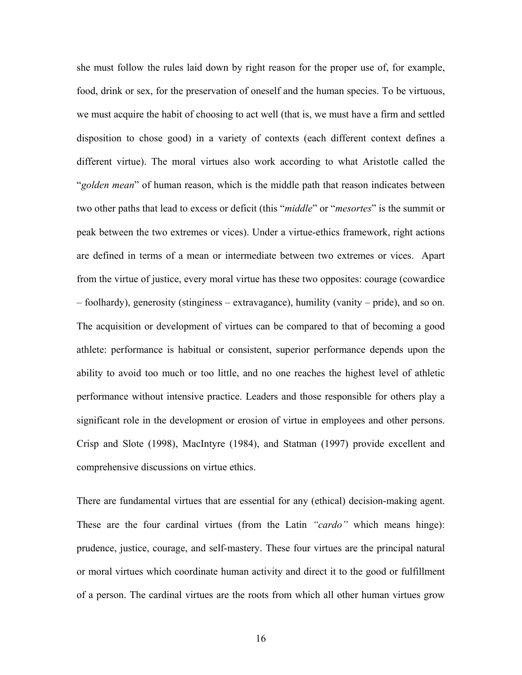she must follow the rules laid down by right reason for the proper use of, for example, food, drink or sex, for the preservation of oneself and the human species. To be virtuous, we must acquire the habit of choosing to act well (that is, we must have a firm and settled disposition to chose good) in a variety of contexts (each different context defines a different virtue). The moral virtues also work according to what Aristotle called the "*golden mean*" of human reason, which is the middle path that reason indicates between two other paths that lead to excess or deficit (this "*middle*" or "*mesortes*" is the summit or peak between the two extremes or vices). Under a virtue-ethics framework, right actions are defined in terms of a mean or intermediate between two extremes or vices. Apart from the virtue of justice, every moral virtue has these two opposites: courage (cowardice – foolhardy), generosity (stinginess – extravagance), humility (vanity – pride), and so on. The acquisition or development of virtues can be compared to that of becoming a good athlete: performance is habitual or consistent, superior performance depends upon the ability to avoid too much or too little, and no one reaches the highest level of athletic performance without intensive practice. Leaders and those responsible for others play a significant role in the development or erosion of virtue in employees and other persons. Crisp and Slote (1998), MacIntyre (1984), and Statman (1997) provide excellent and comprehensive discussions on virtue ethics.

There are fundamental virtues that are essential for any (ethical) decision-making agent. These are the four cardinal virtues (from the Latin *"cardo"* which means hinge): prudence, justice, courage, and self-mastery. These four virtues are the principal natural or moral virtues which coordinate human activity and direct it to the good or fulfillment of a person. The cardinal virtues are the roots from which all other human virtues grow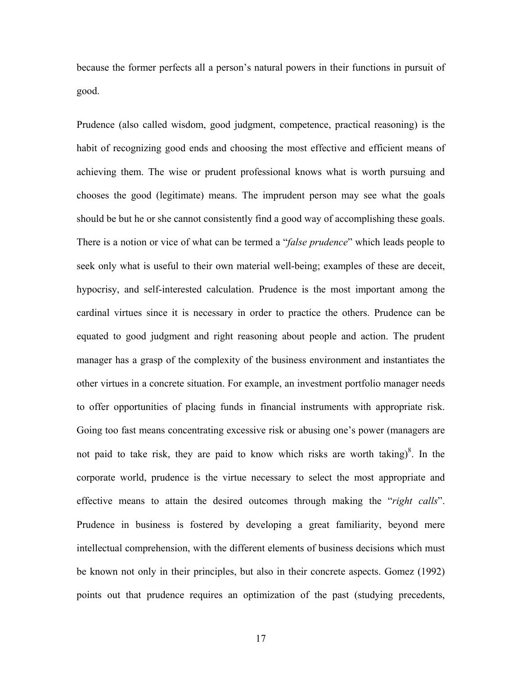because the former perfects all a person's natural powers in their functions in pursuit of good.

Prudence (also called wisdom, good judgment, competence, practical reasoning) is the habit of recognizing good ends and choosing the most effective and efficient means of achieving them. The wise or prudent professional knows what is worth pursuing and chooses the good (legitimate) means. The imprudent person may see what the goals should be but he or she cannot consistently find a good way of accomplishing these goals. There is a notion or vice of what can be termed a "*false prudence*" which leads people to seek only what is useful to their own material well-being; examples of these are deceit, hypocrisy, and self-interested calculation. Prudence is the most important among the cardinal virtues since it is necessary in order to practice the others. Prudence can be equated to good judgment and right reasoning about people and action. The prudent manager has a grasp of the complexity of the business environment and instantiates the other virtues in a concrete situation. For example, an investment portfolio manager needs to offer opportunities of placing funds in financial instruments with appropriate risk. Going too fast means concentrating excessive risk or abusing one's power (managers are not paid to take risk, they are paid to know which risks are worth taking) $\delta$ . In the corporate world, prudence is the virtue necessary to select the most appropriate and effective means to attain the desired outcomes through making the "*right calls*". Prudence in business is fostered by developing a great familiarity, beyond mere intellectual comprehension, with the different elements of business decisions which must be known not only in their principles, but also in their concrete aspects. Gomez (1992) points out that prudence requires an optimization of the past (studying precedents,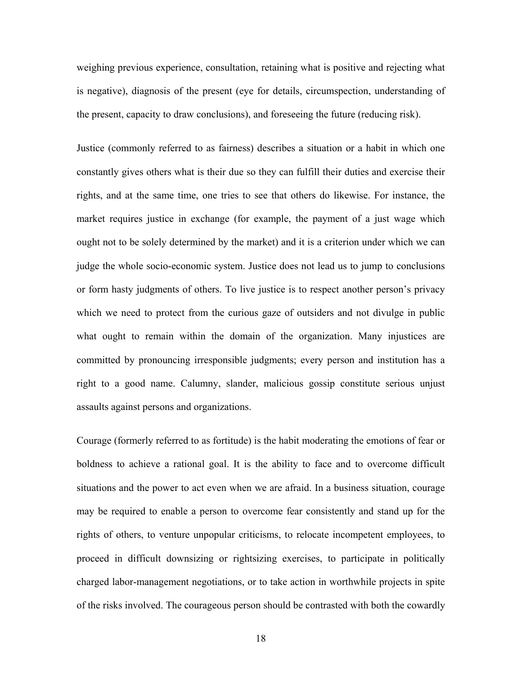weighing previous experience, consultation, retaining what is positive and rejecting what is negative), diagnosis of the present (eye for details, circumspection, understanding of the present, capacity to draw conclusions), and foreseeing the future (reducing risk).

Justice (commonly referred to as fairness) describes a situation or a habit in which one constantly gives others what is their due so they can fulfill their duties and exercise their rights, and at the same time, one tries to see that others do likewise. For instance, the market requires justice in exchange (for example, the payment of a just wage which ought not to be solely determined by the market) and it is a criterion under which we can judge the whole socio-economic system. Justice does not lead us to jump to conclusions or form hasty judgments of others. To live justice is to respect another person's privacy which we need to protect from the curious gaze of outsiders and not divulge in public what ought to remain within the domain of the organization. Many injustices are committed by pronouncing irresponsible judgments; every person and institution has a right to a good name. Calumny, slander, malicious gossip constitute serious unjust assaults against persons and organizations.

Courage (formerly referred to as fortitude) is the habit moderating the emotions of fear or boldness to achieve a rational goal. It is the ability to face and to overcome difficult situations and the power to act even when we are afraid. In a business situation, courage may be required to enable a person to overcome fear consistently and stand up for the rights of others, to venture unpopular criticisms, to relocate incompetent employees, to proceed in difficult downsizing or rightsizing exercises, to participate in politically charged labor-management negotiations, or to take action in worthwhile projects in spite of the risks involved. The courageous person should be contrasted with both the cowardly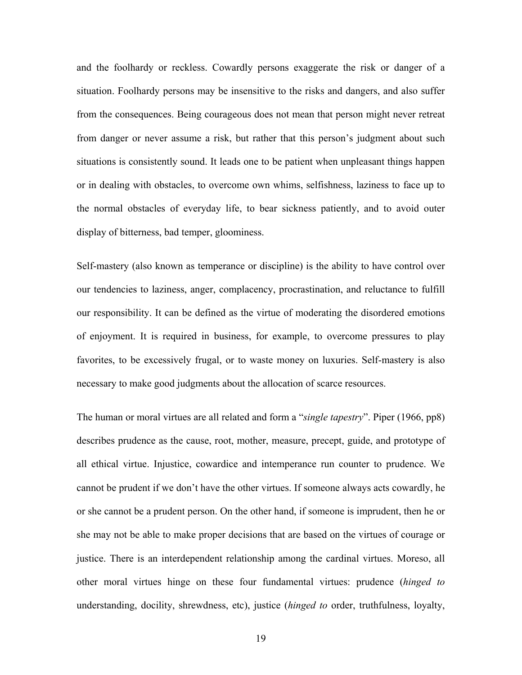and the foolhardy or reckless. Cowardly persons exaggerate the risk or danger of a situation. Foolhardy persons may be insensitive to the risks and dangers, and also suffer from the consequences. Being courageous does not mean that person might never retreat from danger or never assume a risk, but rather that this person's judgment about such situations is consistently sound. It leads one to be patient when unpleasant things happen or in dealing with obstacles, to overcome own whims, selfishness, laziness to face up to the normal obstacles of everyday life, to bear sickness patiently, and to avoid outer display of bitterness, bad temper, gloominess.

Self-mastery (also known as temperance or discipline) is the ability to have control over our tendencies to laziness, anger, complacency, procrastination, and reluctance to fulfill our responsibility. It can be defined as the virtue of moderating the disordered emotions of enjoyment. It is required in business, for example, to overcome pressures to play favorites, to be excessively frugal, or to waste money on luxuries. Self-mastery is also necessary to make good judgments about the allocation of scarce resources.

The human or moral virtues are all related and form a "*single tapestry*". Piper (1966, pp8) describes prudence as the cause, root, mother, measure, precept, guide, and prototype of all ethical virtue. Injustice, cowardice and intemperance run counter to prudence. We cannot be prudent if we don't have the other virtues. If someone always acts cowardly, he or she cannot be a prudent person. On the other hand, if someone is imprudent, then he or she may not be able to make proper decisions that are based on the virtues of courage or justice. There is an interdependent relationship among the cardinal virtues. Moreso, all other moral virtues hinge on these four fundamental virtues: prudence (*hinged to* understanding, docility, shrewdness, etc), justice (*hinged to* order, truthfulness, loyalty,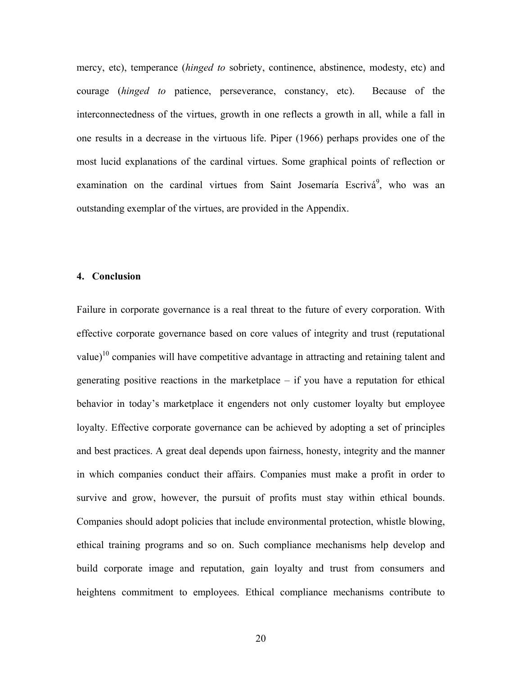mercy, etc), temperance (*hinged to* sobriety, continence, abstinence, modesty, etc) and courage (*hinged to* patience, perseverance, constancy, etc). Because of the interconnectedness of the virtues, growth in one reflects a growth in all, while a fall in one results in a decrease in the virtuous life. Piper (1966) perhaps provides one of the most lucid explanations of the cardinal virtues. Some graphical points of reflection or examination on the cardinal virtues from Saint Josemaría Escrivá<sup>9</sup>, who was an outstanding exemplar of the virtues, are provided in the Appendix.

#### **4. Conclusion**

Failure in corporate governance is a real threat to the future of every corporation. With effective corporate governance based on core values of integrity and trust (reputational value)<sup>10</sup> companies will have competitive advantage in attracting and retaining talent and generating positive reactions in the marketplace – if you have a reputation for ethical behavior in today's marketplace it engenders not only customer loyalty but employee loyalty. Effective corporate governance can be achieved by adopting a set of principles and best practices. A great deal depends upon fairness, honesty, integrity and the manner in which companies conduct their affairs. Companies must make a profit in order to survive and grow, however, the pursuit of profits must stay within ethical bounds. Companies should adopt policies that include environmental protection, whistle blowing, ethical training programs and so on. Such compliance mechanisms help develop and build corporate image and reputation, gain loyalty and trust from consumers and heightens commitment to employees. Ethical compliance mechanisms contribute to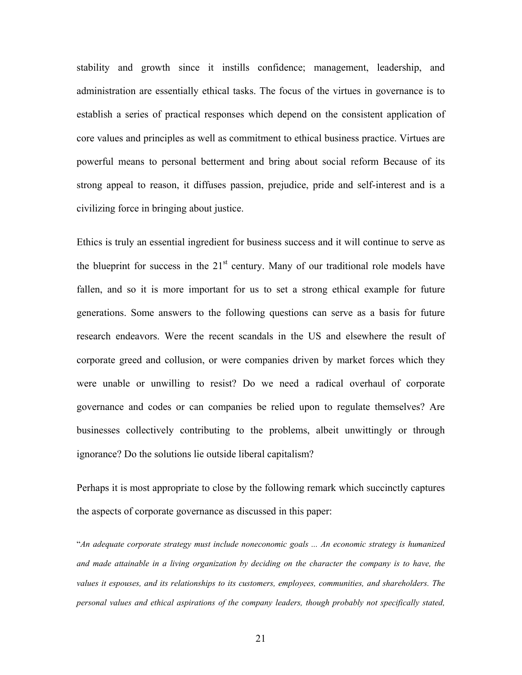stability and growth since it instills confidence; management, leadership, and administration are essentially ethical tasks. The focus of the virtues in governance is to establish a series of practical responses which depend on the consistent application of core values and principles as well as commitment to ethical business practice. Virtues are powerful means to personal betterment and bring about social reform Because of its strong appeal to reason, it diffuses passion, prejudice, pride and self-interest and is a civilizing force in bringing about justice.

Ethics is truly an essential ingredient for business success and it will continue to serve as the blueprint for success in the  $21<sup>st</sup>$  century. Many of our traditional role models have fallen, and so it is more important for us to set a strong ethical example for future generations. Some answers to the following questions can serve as a basis for future research endeavors. Were the recent scandals in the US and elsewhere the result of corporate greed and collusion, or were companies driven by market forces which they were unable or unwilling to resist? Do we need a radical overhaul of corporate governance and codes or can companies be relied upon to regulate themselves? Are businesses collectively contributing to the problems, albeit unwittingly or through ignorance? Do the solutions lie outside liberal capitalism?

Perhaps it is most appropriate to close by the following remark which succinctly captures the aspects of corporate governance as discussed in this paper:

"*An adequate corporate strategy must include noneconomic goals ... An economic strategy is humanized and made attainable in a living organization by deciding on the character the company is to have, the values it espouses, and its relationships to its customers, employees, communities, and shareholders. The personal values and ethical aspirations of the company leaders, though probably not specifically stated,*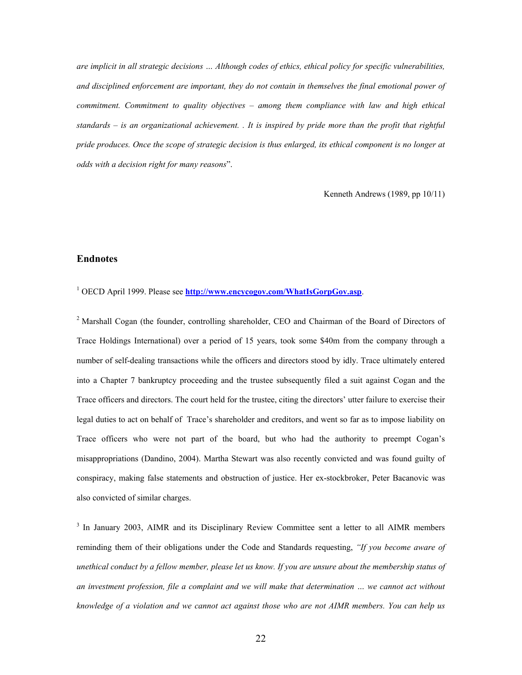*are implicit in all strategic decisions … Although codes of ethics, ethical policy for specific vulnerabilities, and disciplined enforcement are important, they do not contain in themselves the final emotional power of commitment. Commitment to quality objectives – among them compliance with law and high ethical standards – is an organizational achievement. . It is inspired by pride more than the profit that rightful pride produces. Once the scope of strategic decision is thus enlarged, its ethical component is no longer at odds with a decision right for many reasons*".

Kenneth Andrews (1989, pp 10/11)

#### **Endnotes**

<sup>1</sup> OECD April 1999. Please see **http://www.encycogov.com/WhatIsGorpGov.asp**.

<sup>2</sup> Marshall Cogan (the founder, controlling shareholder, CEO and Chairman of the Board of Directors of Trace Holdings International) over a period of 15 years, took some \$40m from the company through a number of self-dealing transactions while the officers and directors stood by idly. Trace ultimately entered into a Chapter 7 bankruptcy proceeding and the trustee subsequently filed a suit against Cogan and the Trace officers and directors. The court held for the trustee, citing the directors' utter failure to exercise their legal duties to act on behalf of Trace's shareholder and creditors, and went so far as to impose liability on Trace officers who were not part of the board, but who had the authority to preempt Cogan's misappropriations (Dandino, 2004). Martha Stewart was also recently convicted and was found guilty of conspiracy, making false statements and obstruction of justice. Her ex-stockbroker, Peter Bacanovic was also convicted of similar charges.

<sup>3</sup> In January 2003, AIMR and its Disciplinary Review Committee sent a letter to all AIMR members reminding them of their obligations under the Code and Standards requesting, *"If you become aware of unethical conduct by a fellow member, please let us know. If you are unsure about the membership status of*  an investment profession, file a complaint and we will make that determination ... we cannot act without *knowledge of a violation and we cannot act against those who are not AIMR members. You can help us*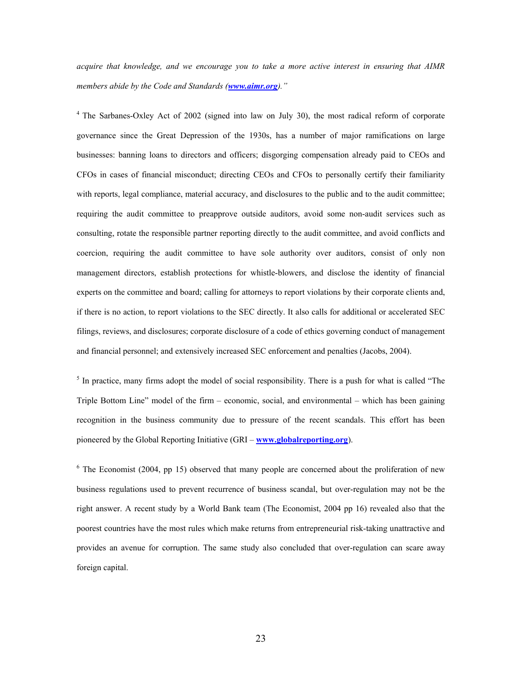*acquire that knowledge, and we encourage you to take a more active interest in ensuring that AIMR members abide by the Code and Standards (www.aimr.org)."* 

<sup>4</sup> The Sarbanes-Oxley Act of 2002 (signed into law on July 30), the most radical reform of corporate governance since the Great Depression of the 1930s, has a number of major ramifications on large businesses: banning loans to directors and officers; disgorging compensation already paid to CEOs and CFOs in cases of financial misconduct; directing CEOs and CFOs to personally certify their familiarity with reports, legal compliance, material accuracy, and disclosures to the public and to the audit committee; requiring the audit committee to preapprove outside auditors, avoid some non-audit services such as consulting, rotate the responsible partner reporting directly to the audit committee, and avoid conflicts and coercion, requiring the audit committee to have sole authority over auditors, consist of only non management directors, establish protections for whistle-blowers, and disclose the identity of financial experts on the committee and board; calling for attorneys to report violations by their corporate clients and, if there is no action, to report violations to the SEC directly. It also calls for additional or accelerated SEC filings, reviews, and disclosures; corporate disclosure of a code of ethics governing conduct of management and financial personnel; and extensively increased SEC enforcement and penalties (Jacobs, 2004).

<sup>5</sup> In practice, many firms adopt the model of social responsibility. There is a push for what is called "The Triple Bottom Line" model of the firm – economic, social, and environmental – which has been gaining recognition in the business community due to pressure of the recent scandals. This effort has been pioneered by the Global Reporting Initiative (GRI – **www.globalreporting.org**).

 $6$  The Economist (2004, pp 15) observed that many people are concerned about the proliferation of new business regulations used to prevent recurrence of business scandal, but over-regulation may not be the right answer. A recent study by a World Bank team (The Economist, 2004 pp 16) revealed also that the poorest countries have the most rules which make returns from entrepreneurial risk-taking unattractive and provides an avenue for corruption. The same study also concluded that over-regulation can scare away foreign capital.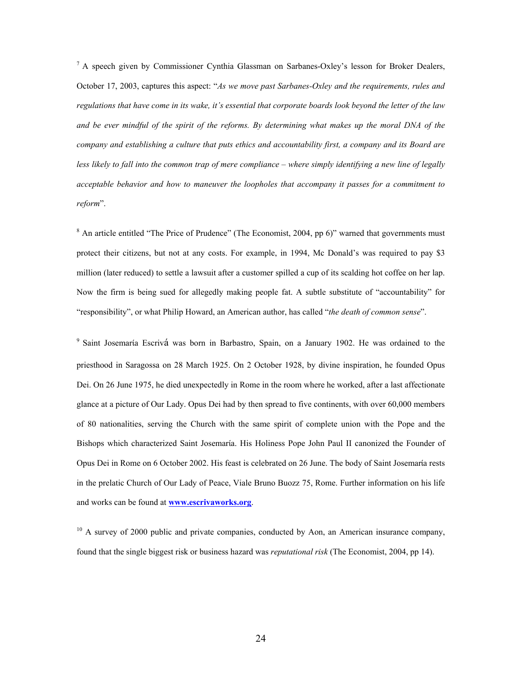<sup>7</sup> A speech given by Commissioner Cynthia Glassman on Sarbanes-Oxley's lesson for Broker Dealers, October 17, 2003, captures this aspect: "*As we move past Sarbanes-Oxley and the requirements, rules and regulations that have come in its wake, it's essential that corporate boards look beyond the letter of the law and be ever mindful of the spirit of the reforms. By determining what makes up the moral DNA of the company and establishing a culture that puts ethics and accountability first, a company and its Board are less likely to fall into the common trap of mere compliance – where simply identifying a new line of legally acceptable behavior and how to maneuver the loopholes that accompany it passes for a commitment to reform*".

 $8$  An article entitled "The Price of Prudence" (The Economist, 2004, pp 6)" warned that governments must protect their citizens, but not at any costs. For example, in 1994, Mc Donald's was required to pay \$3 million (later reduced) to settle a lawsuit after a customer spilled a cup of its scalding hot coffee on her lap. Now the firm is being sued for allegedly making people fat. A subtle substitute of "accountability" for "responsibility", or what Philip Howard, an American author, has called "*the death of common sense*".

<sup>9</sup> Saint Josemaría Escrivá was born in Barbastro, Spain, on a January 1902. He was ordained to the priesthood in Saragossa on 28 March 1925. On 2 October 1928, by divine inspiration, he founded Opus Dei. On 26 June 1975, he died unexpectedly in Rome in the room where he worked, after a last affectionate glance at a picture of Our Lady. Opus Dei had by then spread to five continents, with over 60,000 members of 80 nationalities, serving the Church with the same spirit of complete union with the Pope and the Bishops which characterized Saint Josemarίa. His Holiness Pope John Paul II canonized the Founder of Opus Dei in Rome on 6 October 2002. His feast is celebrated on 26 June. The body of Saint Josemarίa rests in the prelatic Church of Our Lady of Peace, Viale Bruno Buozz 75, Rome. Further information on his life and works can be found at **www.escrivaworks.org**.

 $10$  A survey of 2000 public and private companies, conducted by Aon, an American insurance company, found that the single biggest risk or business hazard was *reputational risk* (The Economist, 2004, pp 14).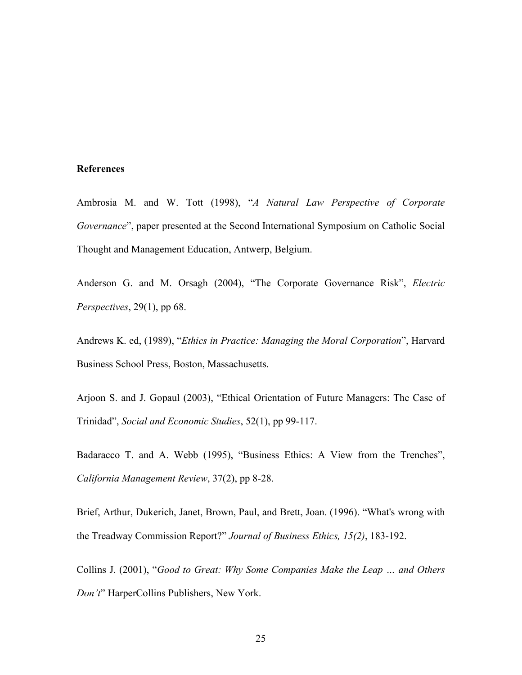#### **References**

Ambrosia M. and W. Tott (1998), "*A Natural Law Perspective of Corporate Governance*", paper presented at the Second International Symposium on Catholic Social Thought and Management Education, Antwerp, Belgium.

Anderson G. and M. Orsagh (2004), "The Corporate Governance Risk", *Electric Perspectives*, 29(1), pp 68.

Andrews K. ed, (1989), "*Ethics in Practice: Managing the Moral Corporation*", Harvard Business School Press, Boston, Massachusetts.

Arjoon S. and J. Gopaul (2003), "Ethical Orientation of Future Managers: The Case of Trinidad", *Social and Economic Studies*, 52(1), pp 99-117.

Badaracco T. and A. Webb (1995), "Business Ethics: A View from the Trenches", *California Management Review*, 37(2), pp 8-28.

Brief, Arthur, Dukerich, Janet, Brown, Paul, and Brett, Joan. (1996). "What's wrong with the Treadway Commission Report?" *Journal of Business Ethics, 15(2)*, 183-192.

Collins J. (2001), "*Good to Great: Why Some Companies Make the Leap … and Others Don't*" HarperCollins Publishers, New York.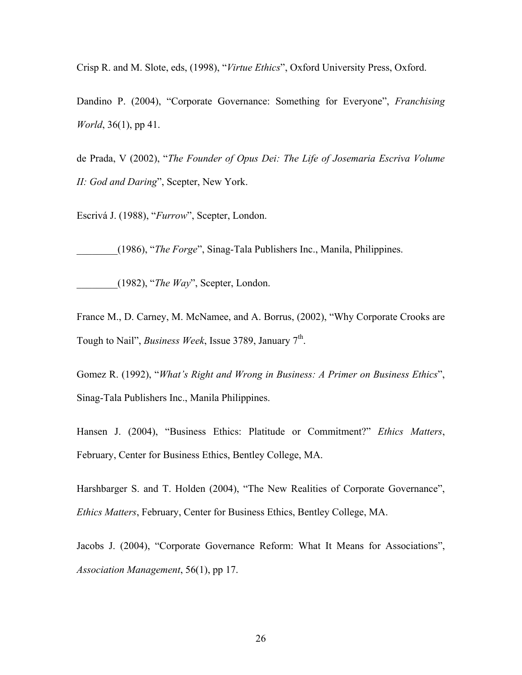Crisp R. and M. Slote, eds, (1998), "*Virtue Ethics*", Oxford University Press, Oxford.

Dandino P. (2004), "Corporate Governance: Something for Everyone", *Franchising World*, 36(1), pp 41.

de Prada, V (2002), "*The Founder of Opus Dei: The Life of Josemaria Escriva Volume II: God and Daring*", Scepter, New York.

Escrivá J. (1988), "*Furrow*", Scepter, London.

\_\_\_\_\_\_\_\_(1986), "*The Forge*", Sinag-Tala Publishers Inc., Manila, Philippines.

\_\_\_\_\_\_\_\_(1982), "*The Way*", Scepter, London.

France M., D. Carney, M. McNamee, and A. Borrus, (2002), "Why Corporate Crooks are Tough to Nail", *Business Week*, Issue 3789, January 7<sup>th</sup>.

Gomez R. (1992), "*What's Right and Wrong in Business: A Primer on Business Ethics*", Sinag-Tala Publishers Inc., Manila Philippines.

Hansen J. (2004), "Business Ethics: Platitude or Commitment?" *Ethics Matters*, February, Center for Business Ethics, Bentley College, MA.

Harshbarger S. and T. Holden (2004), "The New Realities of Corporate Governance", *Ethics Matters*, February, Center for Business Ethics, Bentley College, MA.

Jacobs J. (2004), "Corporate Governance Reform: What It Means for Associations", *Association Management*, 56(1), pp 17.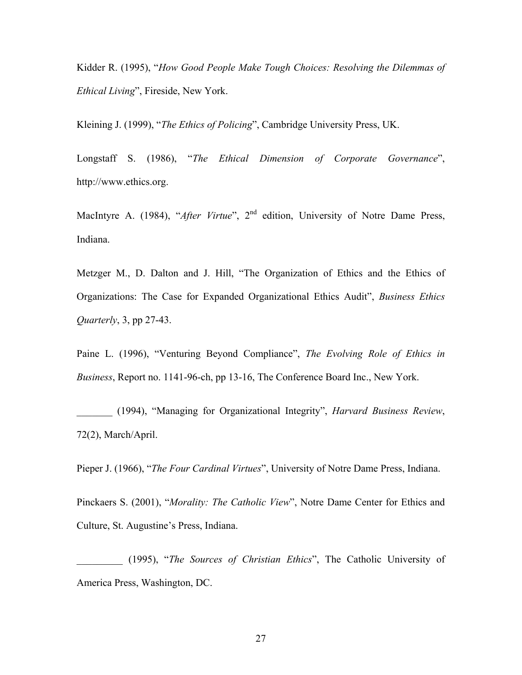Kidder R. (1995), "*How Good People Make Tough Choices: Resolving the Dilemmas of Ethical Living*", Fireside, New York.

Kleining J. (1999), "*The Ethics of Policing*", Cambridge University Press, UK.

Longstaff S. (1986), "*The Ethical Dimension of Corporate Governance*", http://www.ethics.org.

MacIntyre A. (1984), "*After Virtue*", 2<sup>nd</sup> edition, University of Notre Dame Press, Indiana.

Metzger M., D. Dalton and J. Hill, "The Organization of Ethics and the Ethics of Organizations: The Case for Expanded Organizational Ethics Audit", *Business Ethics Quarterly*, 3, pp 27-43.

Paine L. (1996), "Venturing Beyond Compliance", *The Evolving Role of Ethics in Business*, Report no. 1141-96-ch, pp 13-16, The Conference Board Inc., New York.

\_\_\_\_\_\_\_ (1994), "Managing for Organizational Integrity", *Harvard Business Review*, 72(2), March/April.

Pieper J. (1966), "*The Four Cardinal Virtues*", University of Notre Dame Press, Indiana.

Pinckaers S. (2001), "*Morality: The Catholic View*", Notre Dame Center for Ethics and Culture, St. Augustine's Press, Indiana.

\_\_\_\_\_\_\_\_\_ (1995), "*The Sources of Christian Ethics*", The Catholic University of America Press, Washington, DC.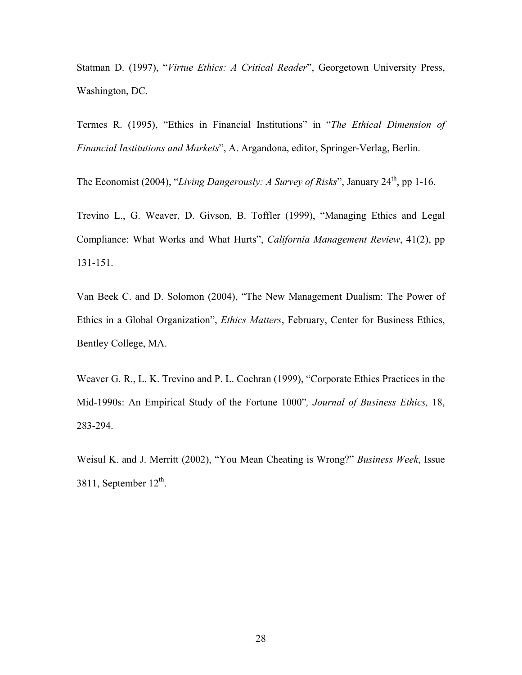Statman D. (1997), "*Virtue Ethics: A Critical Reader*", Georgetown University Press, Washington, DC.

Termes R. (1995), "Ethics in Financial Institutions" in "*The Ethical Dimension of Financial Institutions and Markets*", A. Argandona, editor, Springer-Verlag, Berlin.

The Economist (2004), "*Living Dangerously: A Survey of Risks*", January 24<sup>th</sup>, pp 1-16.

Trevino L., G. Weaver, D. Givson, B. Toffler (1999), "Managing Ethics and Legal Compliance: What Works and What Hurts", *California Management Review*, 41(2), pp 131-151.

Van Beek C. and D. Solomon (2004), "The New Management Dualism: The Power of Ethics in a Global Organization", *Ethics Matters*, February, Center for Business Ethics, Bentley College, MA.

Weaver G. R., L. K. Trevino and P. L. Cochran (1999), "Corporate Ethics Practices in the Mid-1990s: An Empirical Study of the Fortune 1000"*, Journal of Business Ethics,* 18, 283-294.

Weisul K. and J. Merritt (2002), "You Mean Cheating is Wrong?" *Business Week*, Issue 3811, September  $12^{th}$ .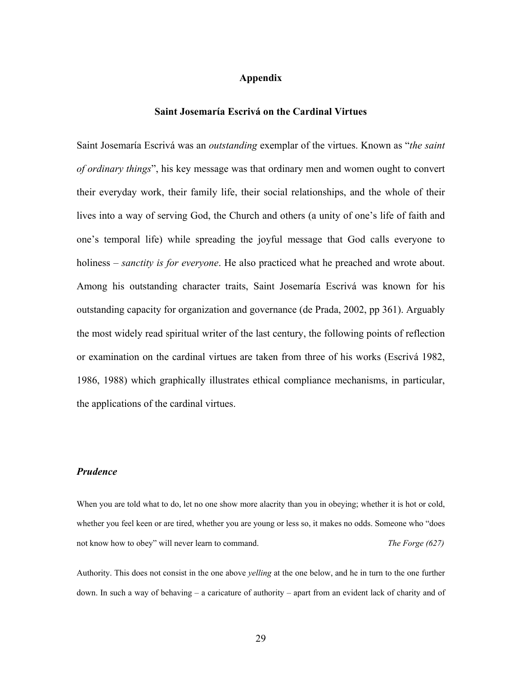## **Appendix**

#### **Saint Josemarίa Escrivá on the Cardinal Virtues**

Saint Josemarίa Escrivá was an *outstanding* exemplar of the virtues. Known as "*the saint of ordinary things*", his key message was that ordinary men and women ought to convert their everyday work, their family life, their social relationships, and the whole of their lives into a way of serving God, the Church and others (a unity of one's life of faith and one's temporal life) while spreading the joyful message that God calls everyone to holiness – *sanctity is for everyone*. He also practiced what he preached and wrote about. Among his outstanding character traits, Saint Josemarίa Escrivá was known for his outstanding capacity for organization and governance (de Prada, 2002, pp 361). Arguably the most widely read spiritual writer of the last century, the following points of reflection or examination on the cardinal virtues are taken from three of his works (Escrivá 1982, 1986, 1988) which graphically illustrates ethical compliance mechanisms, in particular, the applications of the cardinal virtues.

## *Prudence*

When you are told what to do, let no one show more alacrity than you in obeying; whether it is hot or cold, whether you feel keen or are tired, whether you are young or less so, it makes no odds. Someone who "does not know how to obey" will never learn to command. *The Forge (627)* 

Authority. This does not consist in the one above *yelling* at the one below, and he in turn to the one further down. In such a way of behaving – a caricature of authority – apart from an evident lack of charity and of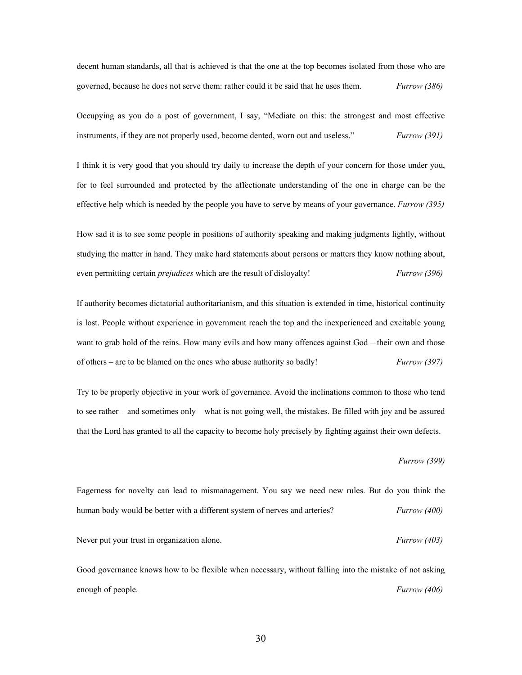decent human standards, all that is achieved is that the one at the top becomes isolated from those who are governed, because he does not serve them: rather could it be said that he uses them. *Furrow (386)* 

Occupying as you do a post of government, I say, "Mediate on this: the strongest and most effective instruments, if they are not properly used, become dented, worn out and useless." *Furrow (391)* 

I think it is very good that you should try daily to increase the depth of your concern for those under you, for to feel surrounded and protected by the affectionate understanding of the one in charge can be the effective help which is needed by the people you have to serve by means of your governance. *Furrow (395)* 

How sad it is to see some people in positions of authority speaking and making judgments lightly, without studying the matter in hand. They make hard statements about persons or matters they know nothing about, even permitting certain *prejudices* which are the result of disloyalty! *Furrow (396)*

If authority becomes dictatorial authoritarianism, and this situation is extended in time, historical continuity is lost. People without experience in government reach the top and the inexperienced and excitable young want to grab hold of the reins. How many evils and how many offences against God – their own and those of others – are to be blamed on the ones who abuse authority so badly! *Furrow (397)* 

Try to be properly objective in your work of governance. Avoid the inclinations common to those who tend to see rather – and sometimes only – what is not going well, the mistakes. Be filled with joy and be assured that the Lord has granted to all the capacity to become holy precisely by fighting against their own defects.

*Furrow (399)* 

Eagerness for novelty can lead to mismanagement. You say we need new rules. But do you think the human body would be better with a different system of nerves and arteries? *Furrow (400)*  Never put your trust in organization alone. *Furrow (403) Furrow (403)* 

Good governance knows how to be flexible when necessary, without falling into the mistake of not asking enough of people. *Furrow (406)*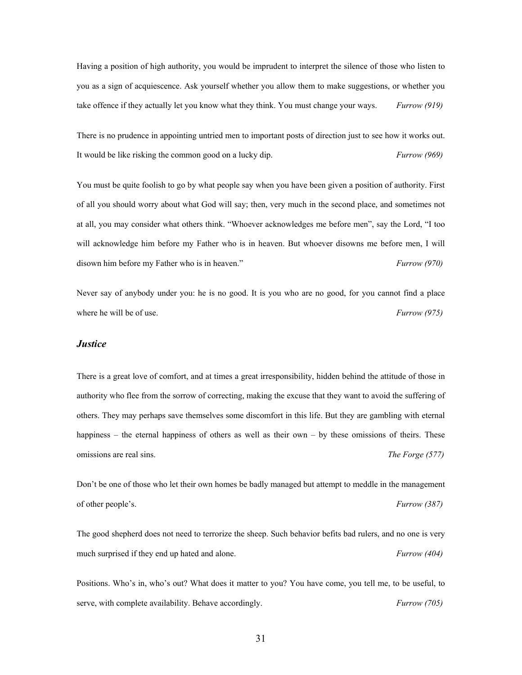Having a position of high authority, you would be imprudent to interpret the silence of those who listen to you as a sign of acquiescence. Ask yourself whether you allow them to make suggestions, or whether you take offence if they actually let you know what they think. You must change your ways. *Furrow (919)* 

There is no prudence in appointing untried men to important posts of direction just to see how it works out. It would be like risking the common good on a lucky dip. *Furrow (969)* 

You must be quite foolish to go by what people say when you have been given a position of authority. First of all you should worry about what God will say; then, very much in the second place, and sometimes not at all, you may consider what others think. "Whoever acknowledges me before men", say the Lord, "I too will acknowledge him before my Father who is in heaven. But whoever disowns me before men, I will disown him before my Father who is in heaven." *Furrow (970)* 

Never say of anybody under you: he is no good. It is you who are no good, for you cannot find a place where he will be of use. *Furrow* (975)

#### *Justice*

There is a great love of comfort, and at times a great irresponsibility, hidden behind the attitude of those in authority who flee from the sorrow of correcting, making the excuse that they want to avoid the suffering of others. They may perhaps save themselves some discomfort in this life. But they are gambling with eternal happiness – the eternal happiness of others as well as their own – by these omissions of theirs. These omissions are real sins. *The Forge (577)* 

Don't be one of those who let their own homes be badly managed but attempt to meddle in the management of other people's. *Furrow (387)* 

The good shepherd does not need to terrorize the sheep. Such behavior befits bad rulers, and no one is very much surprised if they end up hated and alone. *Furrow (404)* 

Positions. Who's in, who's out? What does it matter to you? You have come, you tell me, to be useful, to serve, with complete availability. Behave accordingly. *Furrow (705)*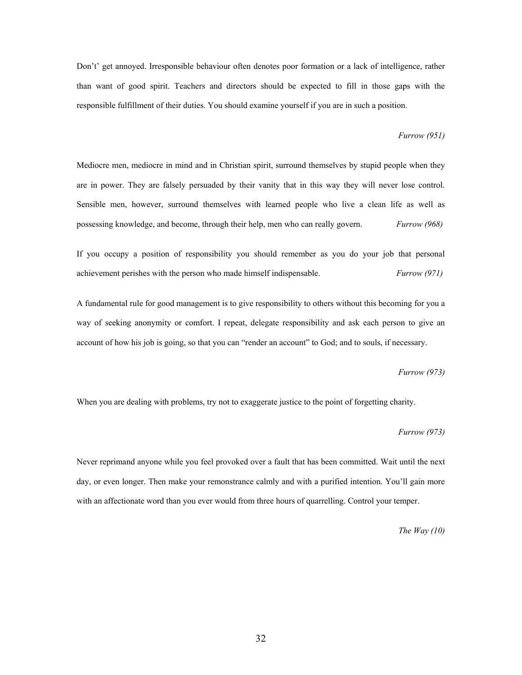Don't' get annoyed. Irresponsible behaviour often denotes poor formation or a lack of intelligence, rather than want of good spirit. Teachers and directors should be expected to fill in those gaps with the responsible fulfillment of their duties. You should examine yourself if you are in such a position.

#### *Furrow (951)*

Mediocre men, mediocre in mind and in Christian spirit, surround themselves by stupid people when they are in power. They are falsely persuaded by their vanity that in this way they will never lose control. Sensible men, however, surround themselves with learned people who live a clean life as well as possessing knowledge, and become, through their help, men who can really govern. *Furrow (968)* 

If you occupy a position of responsibility you should remember as you do your job that personal achievement perishes with the person who made himself indispensable. *Furrow (971)* 

A fundamental rule for good management is to give responsibility to others without this becoming for you a way of seeking anonymity or comfort. I repeat, delegate responsibility and ask each person to give an account of how his job is going, so that you can "render an account" to God; and to souls, if necessary.

#### *Furrow (973)*

When you are dealing with problems, try not to exaggerate justice to the point of forgetting charity.

#### *Furrow (973)*

Never reprimand anyone while you feel provoked over a fault that has been committed. Wait until the next day, or even longer. Then make your remonstrance calmly and with a purified intention. You'll gain more with an affectionate word than you ever would from three hours of quarrelling. Control your temper.

*The Way (10)*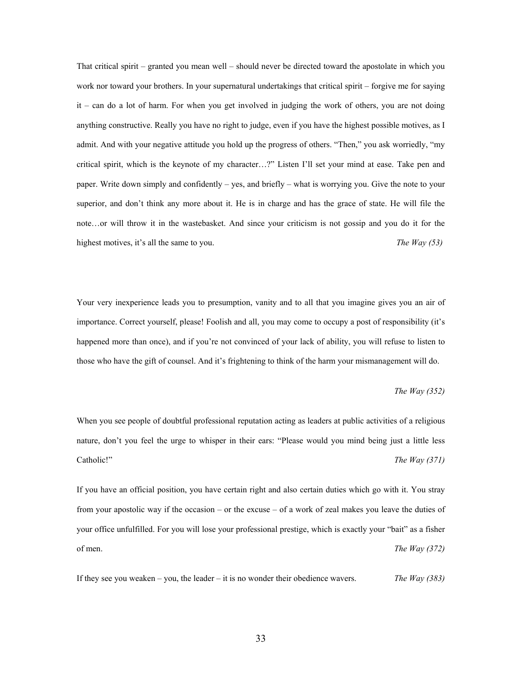That critical spirit – granted you mean well – should never be directed toward the apostolate in which you work nor toward your brothers. In your supernatural undertakings that critical spirit – forgive me for saying it – can do a lot of harm. For when you get involved in judging the work of others, you are not doing anything constructive. Really you have no right to judge, even if you have the highest possible motives, as I admit. And with your negative attitude you hold up the progress of others. "Then," you ask worriedly, "my critical spirit, which is the keynote of my character…?" Listen I'll set your mind at ease. Take pen and paper. Write down simply and confidently – yes, and briefly – what is worrying you. Give the note to your superior, and don't think any more about it. He is in charge and has the grace of state. He will file the note…or will throw it in the wastebasket. And since your criticism is not gossip and you do it for the highest motives, it's all the same to you. *The Way (53)* 

Your very inexperience leads you to presumption, vanity and to all that you imagine gives you an air of importance. Correct yourself, please! Foolish and all, you may come to occupy a post of responsibility (it's happened more than once), and if you're not convinced of your lack of ability, you will refuse to listen to those who have the gift of counsel. And it's frightening to think of the harm your mismanagement will do.

#### *The Way (352)*

When you see people of doubtful professional reputation acting as leaders at public activities of a religious nature, don't you feel the urge to whisper in their ears: "Please would you mind being just a little less Catholic!" *The Way (371)* 

If you have an official position, you have certain right and also certain duties which go with it. You stray from your apostolic way if the occasion – or the excuse – of a work of zeal makes you leave the duties of your office unfulfilled. For you will lose your professional prestige, which is exactly your "bait" as a fisher of men. *The Way (372)* 

If they see you weaken – you, the leader – it is no wonder their obedience wavers. *The Way (383)*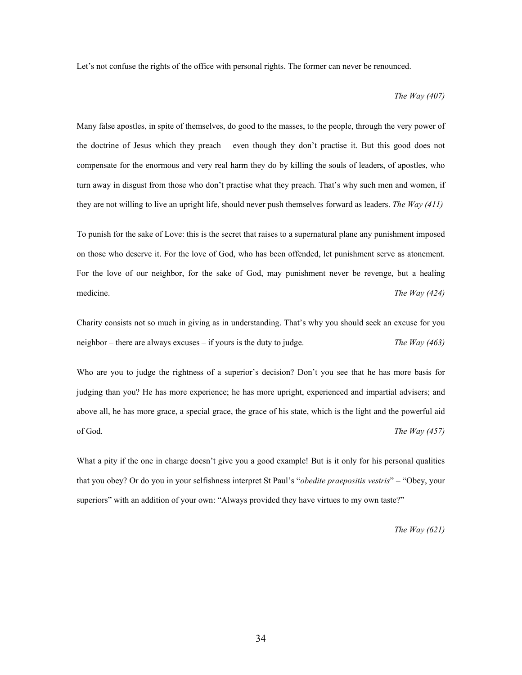Let's not confuse the rights of the office with personal rights. The former can never be renounced.

*The Way (407)* 

Many false apostles, in spite of themselves, do good to the masses, to the people, through the very power of the doctrine of Jesus which they preach – even though they don't practise it. But this good does not compensate for the enormous and very real harm they do by killing the souls of leaders, of apostles, who turn away in disgust from those who don't practise what they preach. That's why such men and women, if they are not willing to live an upright life, should never push themselves forward as leaders. *The Way (411)* 

To punish for the sake of Love: this is the secret that raises to a supernatural plane any punishment imposed on those who deserve it. For the love of God, who has been offended, let punishment serve as atonement. For the love of our neighbor, for the sake of God, may punishment never be revenge, but a healing medicine. **The Way (424) The Way (424)** 

Charity consists not so much in giving as in understanding. That's why you should seek an excuse for you neighbor – there are always excuses – if yours is the duty to judge. *The Way (463)* 

Who are you to judge the rightness of a superior's decision? Don't you see that he has more basis for judging than you? He has more experience; he has more upright, experienced and impartial advisers; and above all, he has more grace, a special grace, the grace of his state, which is the light and the powerful aid of God. *The Way (457)* 

What a pity if the one in charge doesn't give you a good example! But is it only for his personal qualities that you obey? Or do you in your selfishness interpret St Paul's "*obedite praepositis vestris*" – "Obey, your superiors" with an addition of your own: "Always provided they have virtues to my own taste?"

*The Way (621)*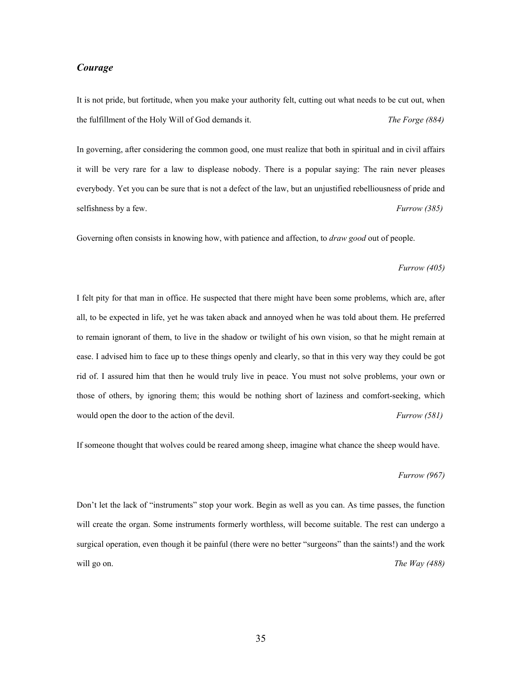# *Courage*

It is not pride, but fortitude, when you make your authority felt, cutting out what needs to be cut out, when the fulfillment of the Holy Will of God demands it. *The Forge (884)* 

In governing, after considering the common good, one must realize that both in spiritual and in civil affairs it will be very rare for a law to displease nobody. There is a popular saying: The rain never pleases everybody. Yet you can be sure that is not a defect of the law, but an unjustified rebelliousness of pride and selfishness by a few. *Furrow (385)* 

Governing often consists in knowing how, with patience and affection, to *draw good* out of people.

#### *Furrow (405)*

I felt pity for that man in office. He suspected that there might have been some problems, which are, after all, to be expected in life, yet he was taken aback and annoyed when he was told about them. He preferred to remain ignorant of them, to live in the shadow or twilight of his own vision, so that he might remain at ease. I advised him to face up to these things openly and clearly, so that in this very way they could be got rid of. I assured him that then he would truly live in peace. You must not solve problems, your own or those of others, by ignoring them; this would be nothing short of laziness and comfort-seeking, which would open the door to the action of the devil. *Furrow (581)* 

If someone thought that wolves could be reared among sheep, imagine what chance the sheep would have.

#### *Furrow (967)*

Don't let the lack of "instruments" stop your work. Begin as well as you can. As time passes, the function will create the organ. Some instruments formerly worthless, will become suitable. The rest can undergo a surgical operation, even though it be painful (there were no better "surgeons" than the saints!) and the work will go on. **The Way (488)** *The Way (488)*